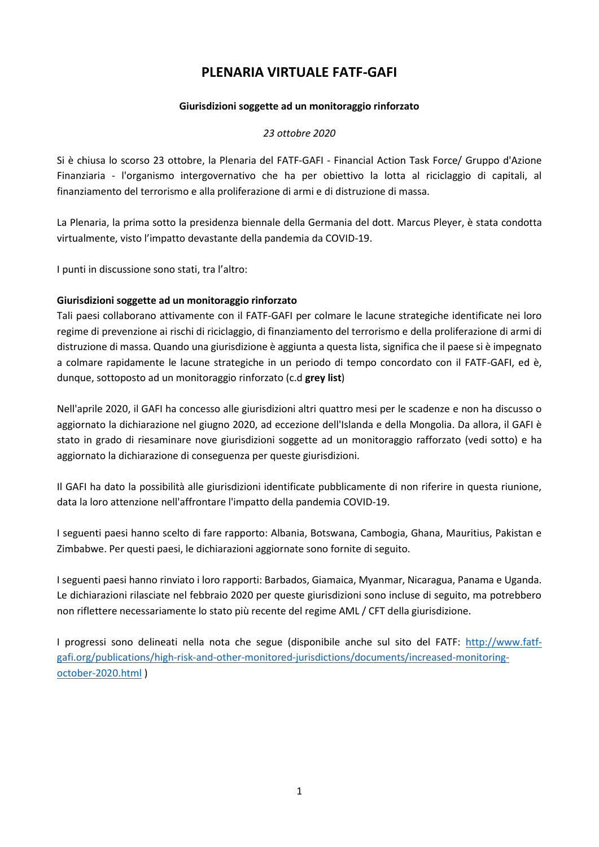### **PLENARIA VIRTUALE FATF-GAFI**

### **Giurisdizioni soggette ad un monitoraggio rinforzato**

### *23 ottobre 2020*

Si è chiusa lo scorso 23 ottobre, la Plenaria del FATF-GAFI - Financial Action Task Force/ Gruppo d'Azione Finanziaria - l'organismo intergovernativo che ha per obiettivo la lotta al riciclaggio di capitali, al finanziamento del terrorismo e alla proliferazione di armi e di distruzione di massa.

La Plenaria, la prima sotto la presidenza biennale della Germania del dott. Marcus Pleyer, è stata condotta virtualmente, visto l'impatto devastante della pandemia da COVID-19.

I punti in discussione sono stati, tra l'altro:

### **Giurisdizioni soggette ad un monitoraggio rinforzato**

Tali paesi collaborano attivamente con il FATF-GAFI per colmare le lacune strategiche identificate nei loro regime di prevenzione ai rischi di riciclaggio, di finanziamento del terrorismo e della proliferazione di armi di distruzione di massa. Quando una giurisdizione è aggiunta a questa lista, significa che il paese si è impegnato a colmare rapidamente le lacune strategiche in un periodo di tempo concordato con il FATF-GAFI, ed è, dunque, sottoposto ad un monitoraggio rinforzato (c.d **grey list**)

Nell'aprile 2020, il GAFI ha concesso alle giurisdizioni altri quattro mesi per le scadenze e non ha discusso o aggiornato la dichiarazione nel giugno 2020, ad eccezione dell'Islanda e della Mongolia. Da allora, il GAFI è stato in grado di riesaminare nove giurisdizioni soggette ad un monitoraggio rafforzato (vedi sotto) e ha aggiornato la dichiarazione di conseguenza per queste giurisdizioni.

Il GAFI ha dato la possibilità alle giurisdizioni identificate pubblicamente di non riferire in questa riunione, data la loro attenzione nell'affrontare l'impatto della pandemia COVID-19.

I seguenti paesi hanno scelto di fare rapporto: Albania, Botswana, Cambogia, Ghana, Mauritius, Pakistan e Zimbabwe. Per questi paesi, le dichiarazioni aggiornate sono fornite di seguito.

I seguenti paesi hanno rinviato i loro rapporti: Barbados, Giamaica, Myanmar, Nicaragua, Panama e Uganda. Le dichiarazioni rilasciate nel febbraio 2020 per queste giurisdizioni sono incluse di seguito, ma potrebbero non riflettere necessariamente lo stato più recente del regime AML / CFT della giurisdizione.

I progressi sono delineati nella nota che segue (disponibile anche sul sito del FATF: [http://www.fatf](http://www.fatf-gafi.org/publications/high-risk-and-other-monitored-jurisdictions/documents/increased-monitoring-october-2020.html)[gafi.org/publications/high-risk-and-other-monitored-jurisdictions/documents/increased-monitoring](http://www.fatf-gafi.org/publications/high-risk-and-other-monitored-jurisdictions/documents/increased-monitoring-october-2020.html)[october-2020.html](http://www.fatf-gafi.org/publications/high-risk-and-other-monitored-jurisdictions/documents/increased-monitoring-october-2020.html) )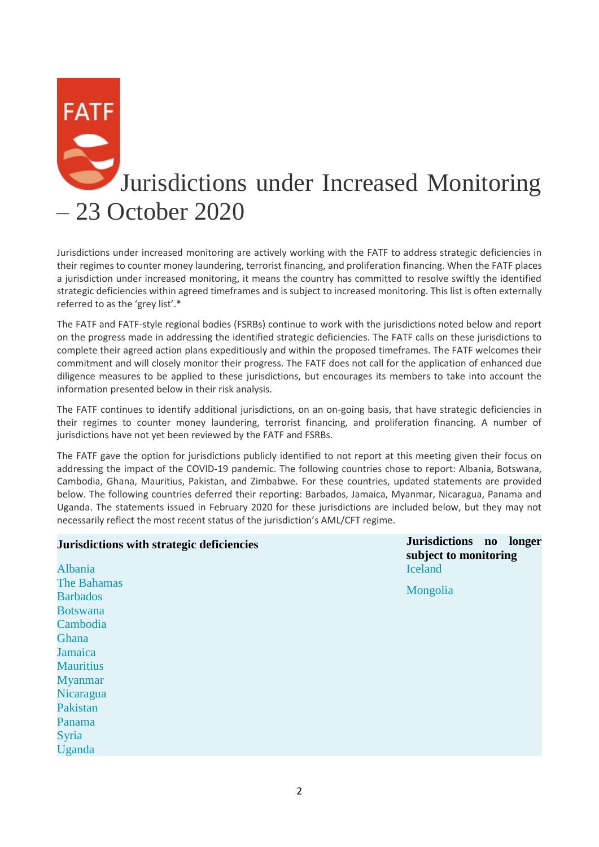# **FATF** Jurisdictions under Increased Monitoring – 23 October 2020

Jurisdictions under increased monitoring are actively working with the FATF to address strategic deficiencies in their regimes to counter money laundering, terrorist financing, and proliferation financing. When the FATF places a jurisdiction under increased monitoring, it means the country has committed to resolve swiftly the identified strategic deficiencies within agreed timeframes and is subject to increased monitoring. This list is often externally referred to as the 'grey list'.\*

The FATF and FATF-style regional bodies (FSRBs) continue to work with the jurisdictions noted below and report on the progress made in addressing the identified strategic deficiencies. The FATF calls on these jurisdictions to complete their agreed action plans expeditiously and within the proposed timeframes. The FATF welcomes their commitment and will closely monitor their progress. The FATF does not call for the application of enhanced due diligence measures to be applied to these jurisdictions, but encourages its members to take into account the information presented below in their risk analysis.

The FATF continues to identify additional jurisdictions, on an on-going basis, that have strategic deficiencies in their regimes to counter money laundering, terrorist financing, and proliferation financing. A number of jurisdictions have not yet been reviewed by the FATF and FSRBs.

The FATF gave the option for jurisdictions publicly identified to not report at this meeting given their focus on addressing the impact of the COVID-19 pandemic. The following countries chose to report: Albania, Botswana, Cambodia, Ghana, Mauritius, Pakistan, and Zimbabwe. For these countries, updated statements are provided below. The following countries deferred their reporting: Barbados, Jamaica, Myanmar, Nicaragua, Panama and Uganda. The statements issued in February 2020 for these jurisdictions are included below, but they may not necessarily reflect the most recent status of the jurisdiction's AML/CFT regime.

**Jurisdictions with strategic deficiencies Jurisdictions no longer** 

| Jurisdictions with strategic deficiencies | subject to monitoring |  |  |
|-------------------------------------------|-----------------------|--|--|
| Albania                                   | <b>Iceland</b>        |  |  |
| <b>The Bahamas</b>                        | Mongolia              |  |  |
| <b>Barbados</b>                           |                       |  |  |
| <b>Botswana</b>                           |                       |  |  |
| Cambodia                                  |                       |  |  |
| Ghana                                     |                       |  |  |
| Jamaica                                   |                       |  |  |
| <b>Mauritius</b>                          |                       |  |  |
| <b>Myanmar</b>                            |                       |  |  |
| Nicaragua                                 |                       |  |  |
| Pakistan                                  |                       |  |  |
| Panama                                    |                       |  |  |
| Syria                                     |                       |  |  |
| Uganda                                    |                       |  |  |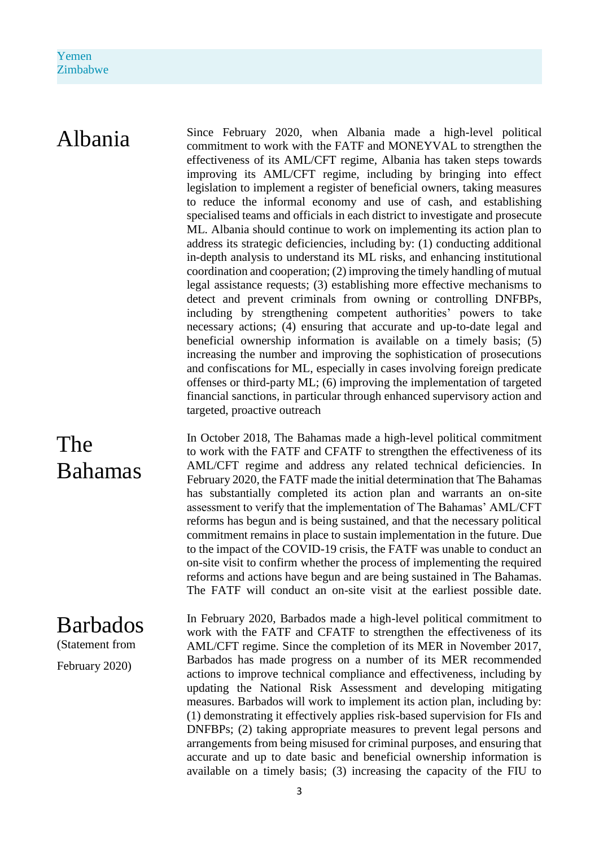Albania Since February 2020, when Albania made a high-level political commitment to work with the FATF and MONEYVAL to strengthen the effectiveness of its AML/CFT regime, Albania has taken steps towards improving its AML/CFT regime, including by bringing into effect legislation to implement a register of beneficial owners, taking measures to reduce the informal economy and use of cash, and establishing specialised teams and officials in each district to investigate and prosecute ML. Albania should continue to work on implementing its action plan to address its strategic deficiencies, including by: (1) conducting additional in-depth analysis to understand its ML risks, and enhancing institutional coordination and cooperation; (2) improving the timely handling of mutual legal assistance requests; (3) establishing more effective mechanisms to detect and prevent criminals from owning or controlling DNFBPs, including by strengthening competent authorities' powers to take necessary actions; (4) ensuring that accurate and up-to-date legal and beneficial ownership information is available on a timely basis; (5) increasing the number and improving the sophistication of prosecutions and confiscations for ML, especially in cases involving foreign predicate offenses or third-party ML; (6) improving the implementation of targeted financial sanctions, in particular through enhanced supervisory action and targeted, proactive outreach

> In October 2018, The Bahamas made a high-level political commitment to work with the FATF and CFATF to strengthen the effectiveness of its AML/CFT regime and address any related technical deficiencies. In February 2020, the FATF made the initial determination that The Bahamas has substantially completed its action plan and warrants an on-site assessment to verify that the implementation of The Bahamas' AML/CFT reforms has begun and is being sustained, and that the necessary political commitment remains in place to sustain implementation in the future. Due to the impact of the COVID-19 crisis, the FATF was unable to conduct an on-site visit to confirm whether the process of implementing the required reforms and actions have begun and are being sustained in The Bahamas. The FATF will conduct an on-site visit at the earliest possible date.

> In February 2020, Barbados made a high-level political commitment to work with the FATF and CFATF to strengthen the effectiveness of its AML/CFT regime. Since the completion of its MER in November 2017, Barbados has made progress on a number of its MER recommended actions to improve technical compliance and effectiveness, including by updating the National Risk Assessment and developing mitigating measures. Barbados will work to implement its action plan, including by: (1) demonstrating it effectively applies risk-based supervision for FIs and DNFBPs; (2) taking appropriate measures to prevent legal persons and arrangements from being misused for criminal purposes, and ensuring that accurate and up to date basic and beneficial ownership information is available on a timely basis; (3) increasing the capacity of the FIU to

# The Bahamas

# Barbados

(Statement from

February 2020)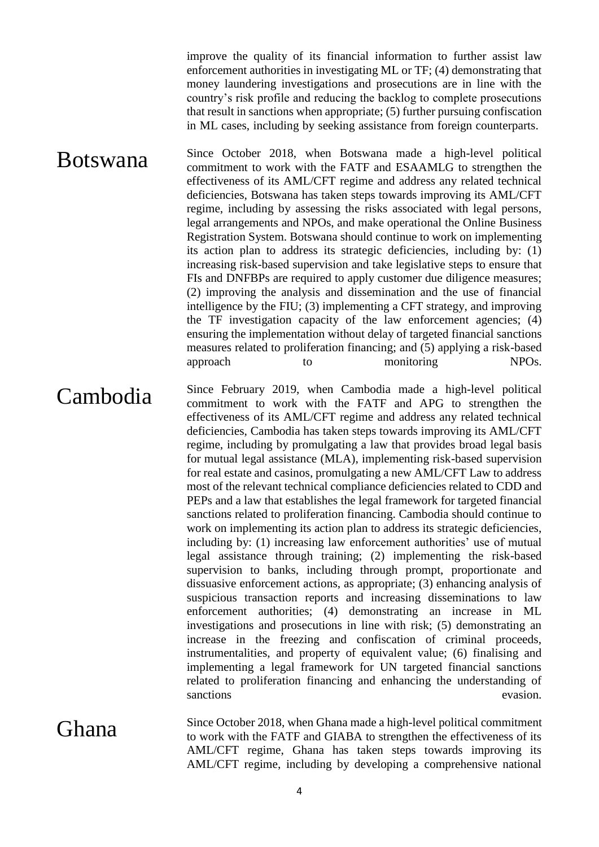improve the quality of its financial information to further assist law enforcement authorities in investigating ML or TF; (4) demonstrating that money laundering investigations and prosecutions are in line with the country's risk profile and reducing the backlog to complete prosecutions that result in sanctions when appropriate; (5) further pursuing confiscation in ML cases, including by seeking assistance from foreign counterparts.

Botswana Since October 2018, when Botswana made a high-level political commitment to work with the FATF and ESAAMLG to strengthen the effectiveness of its AML/CFT regime and address any related technical deficiencies, Botswana has taken steps towards improving its AML/CFT regime, including by assessing the risks associated with legal persons, legal arrangements and NPOs, and make operational the Online Business Registration System. Botswana should continue to work on implementing its action plan to address its strategic deficiencies, including by: (1) increasing risk-based supervision and take legislative steps to ensure that FIs and DNFBPs are required to apply customer due diligence measures; (2) improving the analysis and dissemination and the use of financial intelligence by the FIU; (3) implementing a CFT strategy, and improving the TF investigation capacity of the law enforcement agencies; (4) ensuring the implementation without delay of targeted financial sanctions measures related to proliferation financing; and (5) applying a risk-based approach to monitoring NPOs.

Cambodia Since February 2019, when Cambodia made a high-level political commitment to work with the FATF and APG to strengthen the effectiveness of its AML/CFT regime and address any related technical deficiencies, Cambodia has taken steps towards improving its AML/CFT regime, including by promulgating a law that provides broad legal basis for mutual legal assistance (MLA), implementing risk-based supervision for real estate and casinos, promulgating a new AML/CFT Law to address most of the relevant technical compliance deficiencies related to CDD and PEPs and a law that establishes the legal framework for targeted financial sanctions related to proliferation financing. Cambodia should continue to work on implementing its action plan to address its strategic deficiencies, including by: (1) increasing law enforcement authorities' use of mutual legal assistance through training; (2) implementing the risk-based supervision to banks, including through prompt, proportionate and dissuasive enforcement actions, as appropriate; (3) enhancing analysis of suspicious transaction reports and increasing disseminations to law enforcement authorities; (4) demonstrating an increase in ML investigations and prosecutions in line with risk; (5) demonstrating an increase in the freezing and confiscation of criminal proceeds, instrumentalities, and property of equivalent value; (6) finalising and implementing a legal framework for UN targeted financial sanctions related to proliferation financing and enhancing the understanding of

Ghana Since October 2018, when Ghana made a high-level political commitment to work with the FATF and GIABA to strengthen the effectiveness of its AML/CFT regime, Ghana has taken steps towards improving its AML/CFT regime, including by developing a comprehensive national

sanctions evasion.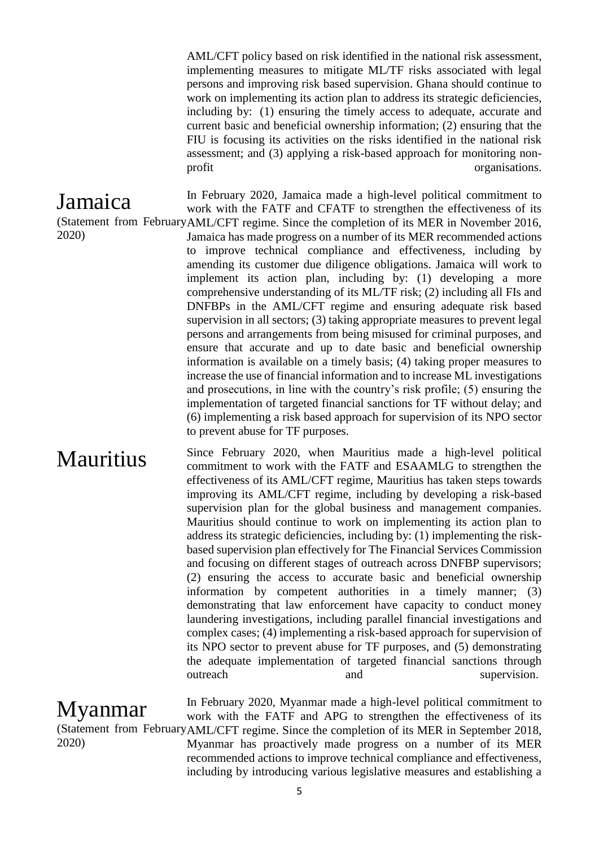AML/CFT policy based on risk identified in the national risk assessment, implementing measures to mitigate ML/TF risks associated with legal persons and improving risk based supervision. Ghana should continue to work on implementing its action plan to address its strategic deficiencies, including by: (1) ensuring the timely access to adequate, accurate and current basic and beneficial ownership information; (2) ensuring that the FIU is focusing its activities on the risks identified in the national risk assessment; and (3) applying a risk-based approach for monitoring nonprofit organisations.

In February 2020, Jamaica made a high-level political commitment to

## Jamaica

2020)

(Statement from February AML/CFT regime. Since the completion of its MER in November 2016, work with the FATF and CFATF to strengthen the effectiveness of its Jamaica has made progress on a number of its MER recommended actions to improve technical compliance and effectiveness, including by amending its customer due diligence obligations. Jamaica will work to implement its action plan, including by: (1) developing a more comprehensive understanding of its ML/TF risk; (2) including all FIs and DNFBPs in the AML/CFT regime and ensuring adequate risk based supervision in all sectors; (3) taking appropriate measures to prevent legal persons and arrangements from being misused for criminal purposes, and ensure that accurate and up to date basic and beneficial ownership information is available on a timely basis; (4) taking proper measures to increase the use of financial information and to increase ML investigations and prosecutions, in line with the country's risk profile; (5) ensuring the implementation of targeted financial sanctions for TF without delay; and (6) implementing a risk based approach for supervision of its NPO sector to prevent abuse for TF purposes.

Mauritius Since February 2020, when Mauritius made a high-level political commitment to work with the FATF and ESAAMLG to strengthen the effectiveness of its AML/CFT regime, Mauritius has taken steps towards improving its AML/CFT regime, including by developing a risk-based supervision plan for the global business and management companies. Mauritius should continue to work on implementing its action plan to address its strategic deficiencies, including by: (1) implementing the riskbased supervision plan effectively for The Financial Services Commission and focusing on different stages of outreach across DNFBP supervisors; (2) ensuring the access to accurate basic and beneficial ownership information by competent authorities in a timely manner; (3) demonstrating that law enforcement have capacity to conduct money laundering investigations, including parallel financial investigations and complex cases; (4) implementing a risk-based approach for supervision of its NPO sector to prevent abuse for TF purposes, and (5) demonstrating the adequate implementation of targeted financial sanctions through outreach and supervision.

Myanmar (Statement from February AML/CFT regime. Since the completion of its MER in September 2018, 2020) In February 2020, Myanmar made a high-level political commitment to work with the FATF and APG to strengthen the effectiveness of its Myanmar has proactively made progress on a number of its MER recommended actions to improve technical compliance and effectiveness, including by introducing various legislative measures and establishing a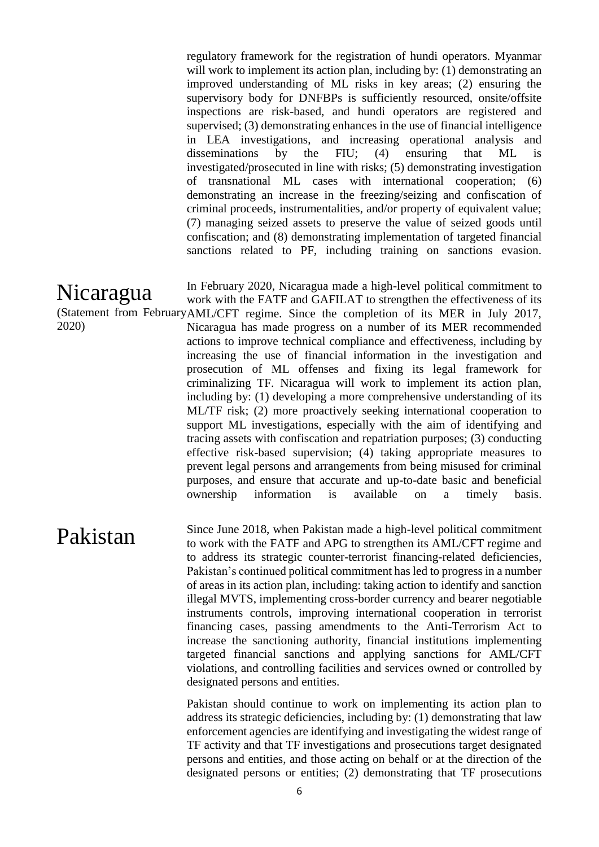regulatory framework for the registration of hundi operators. Myanmar will work to implement its action plan, including by: (1) demonstrating an improved understanding of ML risks in key areas; (2) ensuring the supervisory body for DNFBPs is sufficiently resourced, onsite/offsite inspections are risk-based, and hundi operators are registered and supervised; (3) demonstrating enhances in the use of financial intelligence in LEA investigations, and increasing operational analysis and disseminations by the FIU; (4) ensuring that ML is investigated/prosecuted in line with risks; (5) demonstrating investigation of transnational ML cases with international cooperation; (6) demonstrating an increase in the freezing/seizing and confiscation of criminal proceeds, instrumentalities, and/or property of equivalent value; (7) managing seized assets to preserve the value of seized goods until confiscation; and (8) demonstrating implementation of targeted financial sanctions related to PF, including training on sanctions evasion.

Nicaragua (Statement from February AML/CFT regime. Since the completion of its MER in July 2017, 2020) In February 2020, Nicaragua made a high-level political commitment to work with the FATF and GAFILAT to strengthen the effectiveness of its Nicaragua has made progress on a number of its MER recommended actions to improve technical compliance and effectiveness, including by increasing the use of financial information in the investigation and prosecution of ML offenses and fixing its legal framework for criminalizing TF. Nicaragua will work to implement its action plan, including by: (1) developing a more comprehensive understanding of its ML/TF risk; (2) more proactively seeking international cooperation to support ML investigations, especially with the aim of identifying and tracing assets with confiscation and repatriation purposes; (3) conducting effective risk-based supervision; (4) taking appropriate measures to prevent legal persons and arrangements from being misused for criminal purposes, and ensure that accurate and up-to-date basic and beneficial ownership information is available on a timely basis.

**Pakistan** Since June 2018, when Pakistan made a high-level political commitment to work with the FATF and APG to strengthen its AML/CFT regime and to address its strategic counter-terrorist financing-related deficiencies, Pakistan's continued political commitment has led to progress in a number of areas in its action plan, including: taking action to identify and sanction illegal MVTS, implementing cross-border currency and bearer negotiable instruments controls, improving international cooperation in terrorist financing cases, passing amendments to the Anti-Terrorism Act to increase the sanctioning authority, financial institutions implementing targeted financial sanctions and applying sanctions for AML/CFT violations, and controlling facilities and services owned or controlled by designated persons and entities.

> Pakistan should continue to work on implementing its action plan to address its strategic deficiencies, including by: (1) demonstrating that law enforcement agencies are identifying and investigating the widest range of TF activity and that TF investigations and prosecutions target designated persons and entities, and those acting on behalf or at the direction of the designated persons or entities; (2) demonstrating that TF prosecutions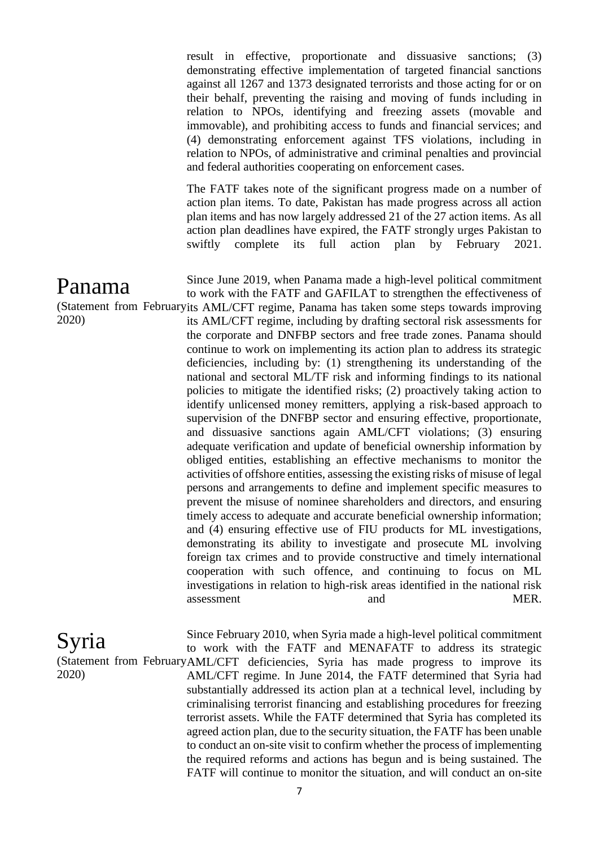result in effective, proportionate and dissuasive sanctions; (3) demonstrating effective implementation of targeted financial sanctions against all 1267 and 1373 designated terrorists and those acting for or on their behalf, preventing the raising and moving of funds including in relation to NPOs, identifying and freezing assets (movable and immovable), and prohibiting access to funds and financial services; and (4) demonstrating enforcement against TFS violations, including in relation to NPOs, of administrative and criminal penalties and provincial and federal authorities cooperating on enforcement cases.

The FATF takes note of the significant progress made on a number of action plan items. To date, Pakistan has made progress across all action plan items and has now largely addressed 21 of the 27 action items. As all action plan deadlines have expired, the FATF strongly urges Pakistan to swiftly complete its full action plan by February 2021.

Panama (Statement from Februaryits AML/CFT regime, Panama has taken some steps towards improving 2020) Since June 2019, when Panama made a high-level political commitment to work with the FATF and GAFILAT to strengthen the effectiveness of its AML/CFT regime, including by drafting sectoral risk assessments for the corporate and DNFBP sectors and free trade zones. Panama should continue to work on implementing its action plan to address its strategic deficiencies, including by: (1) strengthening its understanding of the national and sectoral ML/TF risk and informing findings to its national policies to mitigate the identified risks; (2) proactively taking action to identify unlicensed money remitters, applying a risk-based approach to supervision of the DNFBP sector and ensuring effective, proportionate, and dissuasive sanctions again AML/CFT violations; (3) ensuring adequate verification and update of beneficial ownership information by obliged entities, establishing an effective mechanisms to monitor the activities of offshore entities, assessing the existing risks of misuse of legal persons and arrangements to define and implement specific measures to prevent the misuse of nominee shareholders and directors, and ensuring timely access to adequate and accurate beneficial ownership information; and (4) ensuring effective use of FIU products for ML investigations, demonstrating its ability to investigate and prosecute ML involving foreign tax crimes and to provide constructive and timely international cooperation with such offence, and continuing to focus on ML investigations in relation to high-risk areas identified in the national risk assessment and and MER.

Syria (Statement from February AML/CFT deficiencies, Syria has made progress to improve its 2020) Since February 2010, when Syria made a high-level political commitment to work with the FATF and MENAFATF to address its strategic AML/CFT regime. In June 2014, the FATF determined that Syria had substantially addressed its action plan at a technical level, including by criminalising terrorist financing and establishing procedures for freezing terrorist assets. While the FATF determined that Syria has completed its agreed action plan, due to the security situation, the FATF has been unable to conduct an on-site visit to confirm whether the process of implementing the required reforms and actions has begun and is being sustained. The FATF will continue to monitor the situation, and will conduct an on-site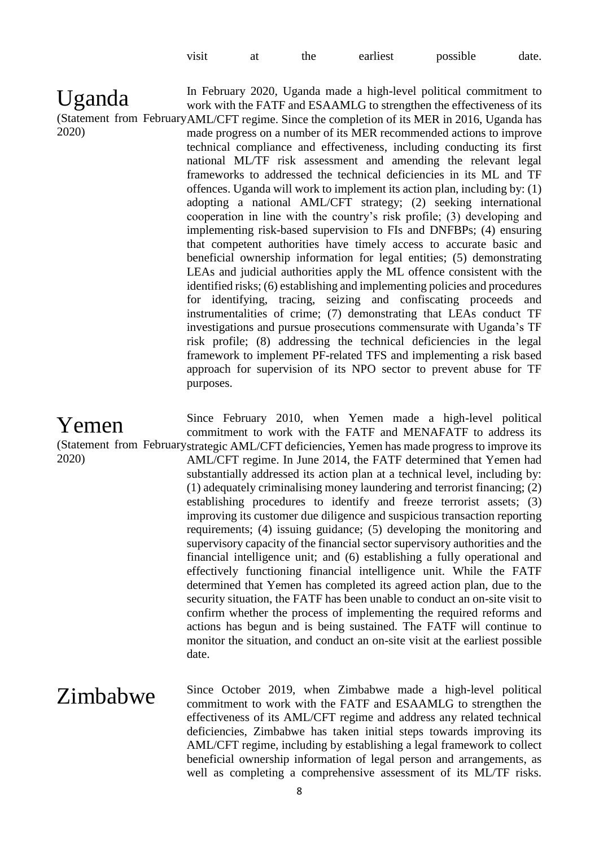| visit | at | the | earliest | possible | date. |
|-------|----|-----|----------|----------|-------|
|-------|----|-----|----------|----------|-------|

Uganda (Statement from February AML/CFT regime. Since the completion of its MER in 2016, Uganda has 2020) In February 2020, Uganda made a high-level political commitment to work with the FATF and ESAAMLG to strengthen the effectiveness of its made progress on a number of its MER recommended actions to improve technical compliance and effectiveness, including conducting its first national ML/TF risk assessment and amending the relevant legal frameworks to addressed the technical deficiencies in its ML and TF offences. Uganda will work to implement its action plan, including by: (1) adopting a national AML/CFT strategy; (2) seeking international cooperation in line with the country's risk profile; (3) developing and implementing risk-based supervision to FIs and DNFBPs; (4) ensuring that competent authorities have timely access to accurate basic and beneficial ownership information for legal entities; (5) demonstrating LEAs and judicial authorities apply the ML offence consistent with the identified risks; (6) establishing and implementing policies and procedures for identifying, tracing, seizing and confiscating proceeds and instrumentalities of crime; (7) demonstrating that LEAs conduct TF investigations and pursue prosecutions commensurate with Uganda's TF risk profile; (8) addressing the technical deficiencies in the legal framework to implement PF-related TFS and implementing a risk based approach for supervision of its NPO sector to prevent abuse for TF purposes.

Yemen (Statement from February strategic AML/CFT deficiencies, Yemen has made progress to improve its 2020) Since February 2010, when Yemen made a high-level political commitment to work with the FATF and MENAFATF to address its AML/CFT regime. In June 2014, the FATF determined that Yemen had substantially addressed its action plan at a technical level, including by: (1) adequately criminalising money laundering and terrorist financing; (2) establishing procedures to identify and freeze terrorist assets; (3) improving its customer due diligence and suspicious transaction reporting requirements; (4) issuing guidance; (5) developing the monitoring and supervisory capacity of the financial sector supervisory authorities and the financial intelligence unit; and (6) establishing a fully operational and effectively functioning financial intelligence unit. While the FATF determined that Yemen has completed its agreed action plan, due to the security situation, the FATF has been unable to conduct an on-site visit to confirm whether the process of implementing the required reforms and actions has begun and is being sustained. The FATF will continue to monitor the situation, and conduct an on-site visit at the earliest possible date.

Zimbabwe Since October 2019, when Zimbabwe made a high-level political commitment to work with the FATF and ESAAMLG to strengthen the effectiveness of its AML/CFT regime and address any related technical deficiencies, Zimbabwe has taken initial steps towards improving its AML/CFT regime, including by establishing a legal framework to collect beneficial ownership information of legal person and arrangements, as well as completing a comprehensive assessment of its ML/TF risks.